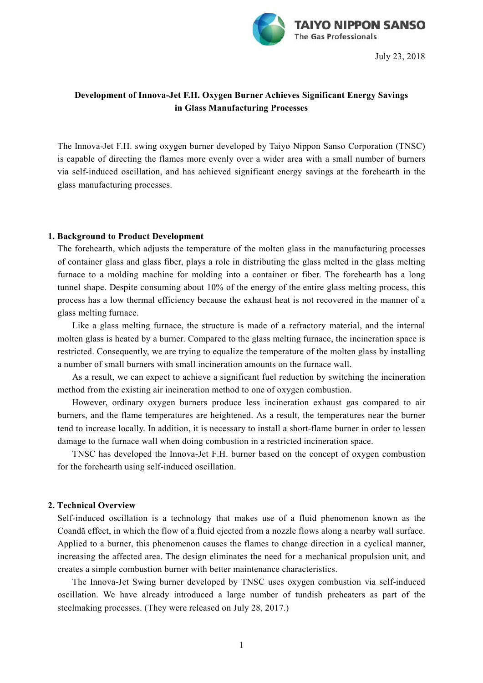

July 23, 2018

# **Development of Innova-Jet F.H. Oxygen Burner Achieves Significant Energy Savings in Glass Manufacturing Processes**

The Innova-Jet F.H. swing oxygen burner developed by Taiyo Nippon Sanso Corporation (TNSC) is capable of directing the flames more evenly over a wider area with a small number of burners via self-induced oscillation, and has achieved significant energy savings at the forehearth in the glass manufacturing processes.

## **1. Background to Product Development**

The forehearth, which adjusts the temperature of the molten glass in the manufacturing processes of container glass and glass fiber, plays a role in distributing the glass melted in the glass melting furnace to a molding machine for molding into a container or fiber. The forehearth has a long tunnel shape. Despite consuming about 10% of the energy of the entire glass melting process, this process has a low thermal efficiency because the exhaust heat is not recovered in the manner of a glass melting furnace.

Like a glass melting furnace, the structure is made of a refractory material, and the internal molten glass is heated by a burner. Compared to the glass melting furnace, the incineration space is restricted. Consequently, we are trying to equalize the temperature of the molten glass by installing a number of small burners with small incineration amounts on the furnace wall.

As a result, we can expect to achieve a significant fuel reduction by switching the incineration method from the existing air incineration method to one of oxygen combustion.

However, ordinary oxygen burners produce less incineration exhaust gas compared to air burners, and the flame temperatures are heightened. As a result, the temperatures near the burner tend to increase locally. In addition, it is necessary to install a short-flame burner in order to lessen damage to the furnace wall when doing combustion in a restricted incineration space.

TNSC has developed the Innova-Jet F.H. burner based on the concept of oxygen combustion for the forehearth using self-induced oscillation.

#### **2. Technical Overview**

Self-induced oscillation is a technology that makes use of a fluid phenomenon known as the Coandă effect, in which the flow of a fluid ejected from a nozzle flows along a nearby wall surface. Applied to a burner, this phenomenon causes the flames to change direction in a cyclical manner, increasing the affected area. The design eliminates the need for a mechanical propulsion unit, and creates a simple combustion burner with better maintenance characteristics.

The Innova-Jet Swing burner developed by TNSC uses oxygen combustion via self-induced oscillation. We have already introduced a large number of tundish preheaters as part of the steelmaking processes. (They were released on July 28, 2017.)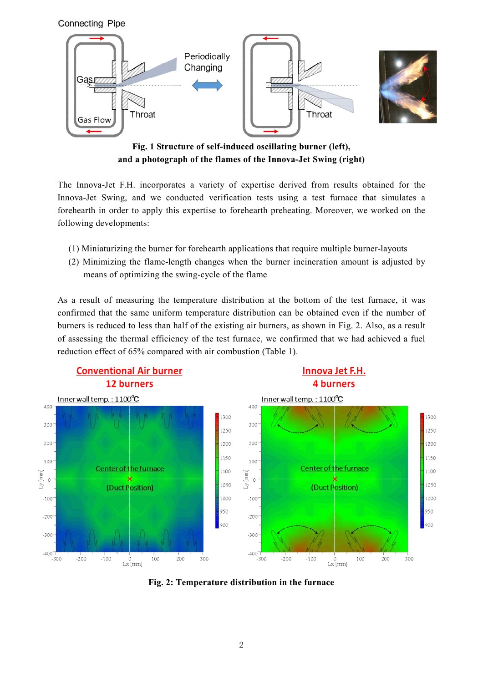



**Fig. 1 Structure of self-induced oscillating burner (left), and a photograph of the flames of the Innova-Jet Swing (right)**

The Innova-Jet F.H. incorporates a variety of expertise derived from results obtained for the Innova-Jet Swing, and we conducted verification tests using a test furnace that simulates a forehearth in order to apply this expertise to forehearth preheating. Moreover, we worked on the following developments:

- (1) Miniaturizing the burner for forehearth applications that require multiple burner-layouts
- (2) Minimizing the flame-length changes when the burner incineration amount is adjusted by means of optimizing the swing-cycle of the flame

As a result of measuring the temperature distribution at the bottom of the test furnace, it was confirmed that the same uniform temperature distribution can be obtained even if the number of burners is reduced to less than half of the existing air burners, as shown in Fig. 2. Also, as a result of assessing the thermal efficiency of the test furnace, we confirmed that we had achieved a fuel reduction effect of 65% compared with air combustion (Table 1).